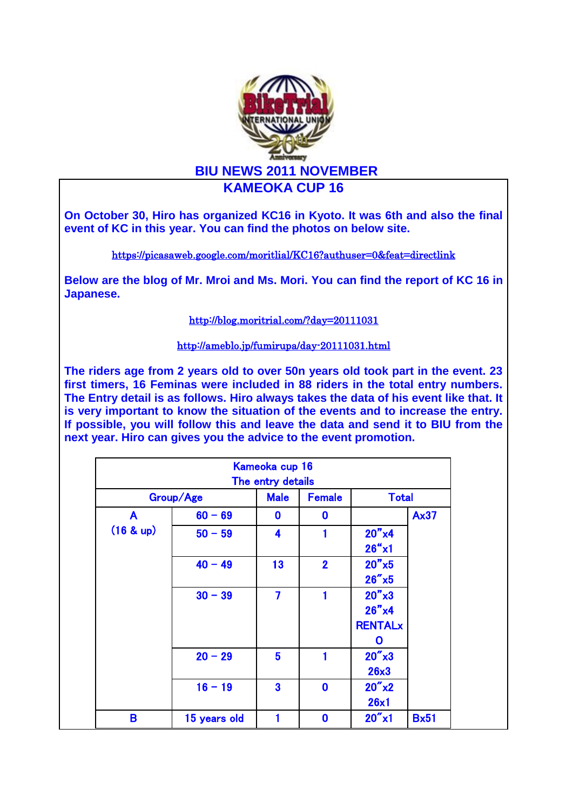

**On October 30, Hiro has organized KC16 in Kyoto. It was 6th and also the final event of KC in this year. You can find the photos on below site.**

<https://picasaweb.google.com/moritlial/KC16?authuser=0&feat=directlink>

**Below are the blog of Mr. Mroi and Ms. Mori. You can find the report of KC 16 in Japanese.**

<http://blog.moritrial.com/?day=20111031>

<http://ameblo.jp/fumirupa/day-20111031.html>

**The riders age from 2 years old to over 50n years old took part in the event. 23 first timers, 16 Feminas were included in 88 riders in the total entry numbers. The Entry detail is as follows. Hiro always takes the data of his event like that. It is very important to know the situation of the events and to increase the entry. If possible, you will follow this and leave the data and send it to BIU from the next year. Hiro can gives you the advice to the event promotion.** 

|              |              | Kameoka cup 16<br>The entry details |                |                   |             |
|--------------|--------------|-------------------------------------|----------------|-------------------|-------------|
| Group/Age    |              | <b>Male</b>                         | <b>Female</b>  | <b>Total</b>      |             |
| $\mathsf{A}$ | $60 - 69$    | $\bf{0}$                            | $\bf{0}$       |                   | <b>Ax37</b> |
| (16 & up)    | $50 - 59$    | 4                                   |                | $20''$ x4         |             |
|              |              |                                     |                | $26''$ x1         |             |
|              | $40 - 49$    | 13                                  | $\overline{2}$ | $20''$ x5         |             |
|              |              |                                     |                | $26''$ x5         |             |
|              | $30 - 39$    | $\overline{7}$                      | $\blacksquare$ | $20''$ x $3$      |             |
|              |              |                                     |                | $26''$ x4         |             |
|              |              |                                     |                | <b>RENTALx</b>    |             |
|              |              |                                     |                | O                 |             |
|              | $20 - 29$    | 5                                   | 1              | $20''$ $\times$ 3 |             |
|              |              |                                     |                | 26x3              |             |
|              | $16 - 19$    | $\overline{\mathbf{3}}$             | $\bf{0}$       | $20''$ x2         |             |
|              |              |                                     |                | 26x1              |             |
| B            | 15 years old | $\blacksquare$                      | $\bf{0}$       | $20''$ x1         | <b>Bx51</b> |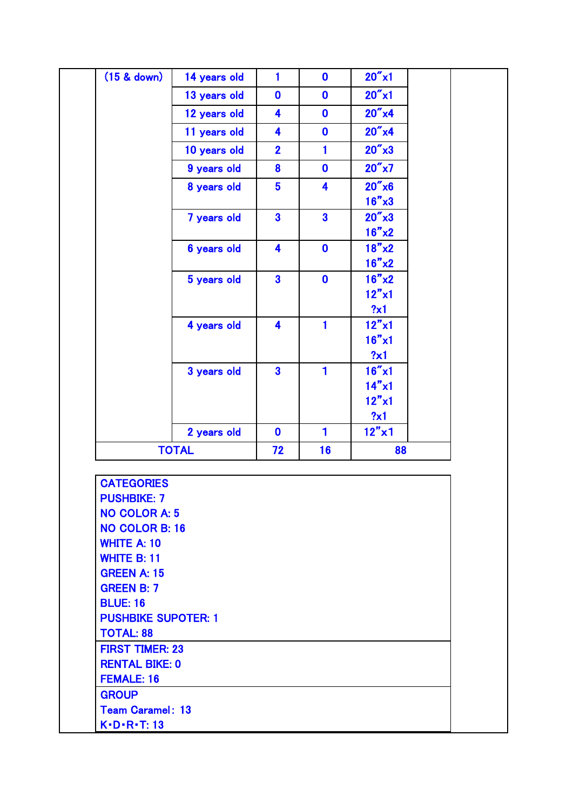| (15 & down)                | 14 years old | 1                       | $\mathbf{0}$            | $20''$ x1          |  |
|----------------------------|--------------|-------------------------|-------------------------|--------------------|--|
|                            | 13 years old | $\boldsymbol{0}$        | $\mathbf 0$             | $20''$ x1          |  |
|                            | 12 years old | 4                       | $\mathbf{0}$            | $20''$ x4          |  |
|                            | 11 years old | 4                       | $\mathbf{0}$            | $20''$ x4          |  |
|                            | 10 years old | $\overline{2}$          | $\blacksquare$          | $20''$ x $3$       |  |
|                            | 9 years old  | 8                       | $\mathbf{0}$            | $20''$ x7          |  |
|                            | 8 years old  | 5 <sup>5</sup>          | 4                       | $20''$ x $6$       |  |
|                            |              |                         |                         | $16" \times 3$     |  |
|                            | 7 years old  | $\overline{\mathbf{3}}$ | $\overline{\mathbf{3}}$ | $20''$ x $3$       |  |
|                            |              |                         |                         | $16"$ x2           |  |
|                            | 6 years old  | $\overline{\mathbf{4}}$ | $\mathbf{0}$            | $18"$ x2           |  |
|                            |              |                         |                         | $16"$ x2           |  |
|                            | 5 years old  | $\overline{\mathbf{3}}$ | $\mathbf{0}$            | $16"$ x2           |  |
|                            |              |                         |                         | 12"x1              |  |
|                            |              |                         |                         | ?x1                |  |
|                            | 4 years old  | 4                       | $\blacksquare$          | 12"x1              |  |
|                            |              |                         |                         | $16''$ x $1$       |  |
|                            |              |                         |                         | ?x1                |  |
|                            | 3 years old  | $\overline{\mathbf{3}}$ | 1                       | $16''$ x1<br>14"x1 |  |
|                            |              |                         |                         | 12"x1              |  |
|                            |              |                         |                         | ?x1                |  |
|                            | 2 years old  | $\mathbf{0}$            | 1                       | $12" \times 1$     |  |
|                            | <b>TOTAL</b> | 72                      | 16                      | 88                 |  |
|                            |              |                         |                         |                    |  |
| <b>CATEGORIES</b>          |              |                         |                         |                    |  |
| <b>PUSHBIKE: 7</b>         |              |                         |                         |                    |  |
| <b>NO COLOR A: 5</b>       |              |                         |                         |                    |  |
| <b>NO COLOR B: 16</b>      |              |                         |                         |                    |  |
| <b>WHITE A: 10</b>         |              |                         |                         |                    |  |
| <b>WHITE B: 11</b>         |              |                         |                         |                    |  |
| <b>GREEN A: 15</b>         |              |                         |                         |                    |  |
| <b>GREEN B: 7</b>          |              |                         |                         |                    |  |
| <b>BLUE: 16</b>            |              |                         |                         |                    |  |
| <b>PUSHBIKE SUPOTER: 1</b> |              |                         |                         |                    |  |
| <b>TOTAL: 88</b>           |              |                         |                         |                    |  |
| <b>FIRST TIMER: 23</b>     |              |                         |                         |                    |  |
| <b>RENTAL BIKE: 0</b>      |              |                         |                         |                    |  |

FEMALE: 16 **GROUP** 

K・D・R・T: 13

Team Caramel: 13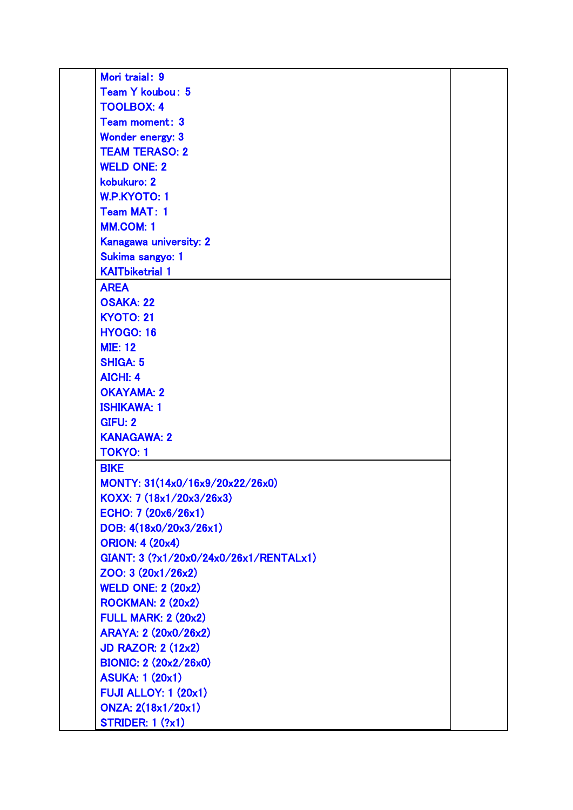| Mori traial: 9                         |  |
|----------------------------------------|--|
| Team Y koubou: 5                       |  |
| <b>TOOLBOX: 4</b>                      |  |
| Team moment: 3                         |  |
| Wonder energy: 3                       |  |
| <b>TEAM TERASO: 2</b>                  |  |
| <b>WELD ONE: 2</b>                     |  |
| kobukuro: 2                            |  |
| <b>W.P.KYOTO: 1</b>                    |  |
| <b>Team MAT: 1</b>                     |  |
| <b>MM.COM: 1</b>                       |  |
| Kanagawa university: 2                 |  |
| Sukima sangyo: 1                       |  |
| <b>KAITbiketrial 1</b>                 |  |
| <b>AREA</b>                            |  |
| <b>OSAKA: 22</b>                       |  |
| <b>KYOTO: 21</b>                       |  |
| <b>HYOGO: 16</b>                       |  |
| <b>MIE: 12</b>                         |  |
| <b>SHIGA: 5</b>                        |  |
| <b>AICHI: 4</b>                        |  |
| <b>OKAYAMA: 2</b>                      |  |
| <b>ISHIKAWA: 1</b>                     |  |
| <b>GIFU: 2</b>                         |  |
| <b>KANAGAWA: 2</b>                     |  |
| <b>TOKYO: 1</b>                        |  |
| <b>BIKE</b>                            |  |
| MONTY: 31(14x0/16x9/20x22/26x0)        |  |
| KOXX: 7 (18x1/20x3/26x3)               |  |
| ECHO: $7(20x6/26x1)$                   |  |
| DOB: 4(18x0/20x3/26x1)                 |  |
| <b>ORION: 4 (20x4)</b>                 |  |
| GIANT: 3 (?x1/20x0/24x0/26x1/RENTALx1) |  |
| ZOO: 3 (20x1/26x2)                     |  |
| <b>WELD ONE: 2 (20x2)</b>              |  |
| <b>ROCKMAN: 2 (20x2)</b>               |  |
| <b>FULL MARK: 2 (20x2)</b>             |  |
| ARAYA: 2 (20x0/26x2)                   |  |
| <b>JD RAZOR: 2 (12x2)</b>              |  |
| <b>BIONIC: 2 (20x2/26x0)</b>           |  |
| <b>ASUKA: 1 (20x1)</b>                 |  |
| <b>FUJI ALLOY: 1 (20x1)</b>            |  |
| ONZA: 2(18x1/20x1)                     |  |
| <b>STRIDER: 1 (?x1)</b>                |  |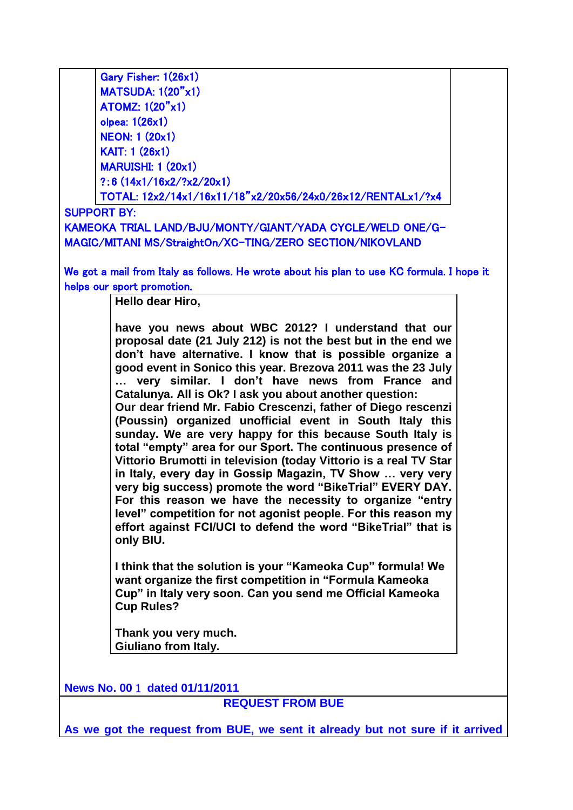| Gary Fisher: 1(26x1)                                                                                                           |  |  |  |  |  |
|--------------------------------------------------------------------------------------------------------------------------------|--|--|--|--|--|
| <b>MATSUDA: 1(20"x1)</b>                                                                                                       |  |  |  |  |  |
| <b>ATOMZ: 1(20"x1)</b>                                                                                                         |  |  |  |  |  |
| olpea: 1(26x1)<br><b>NEON: 1 (20x1)</b>                                                                                        |  |  |  |  |  |
| <b>KAIT: 1 (26x1)</b>                                                                                                          |  |  |  |  |  |
| <b>MARUISHI: 1 (20x1)</b>                                                                                                      |  |  |  |  |  |
| ?: 6 $(14x1/16x2/?x2/20x1)$                                                                                                    |  |  |  |  |  |
| TOTAL: 12x2/14x1/16x11/18"x2/20x56/24x0/26x12/RENTALx1/?x4                                                                     |  |  |  |  |  |
| <b>SUPPORT BY:</b>                                                                                                             |  |  |  |  |  |
| KAMEOKA TRIAL LAND/BJU/MONTY/GIANT/YADA CYCLE/WELD ONE/G-                                                                      |  |  |  |  |  |
| MAGIC/MITANI MS/StraightOn/XC-TING/ZERO SECTION/NIKOVLAND                                                                      |  |  |  |  |  |
|                                                                                                                                |  |  |  |  |  |
| We got a mail from Italy as follows. He wrote about his plan to use KC formula. I hope it                                      |  |  |  |  |  |
| helps our sport promotion.                                                                                                     |  |  |  |  |  |
| Hello dear Hiro,                                                                                                               |  |  |  |  |  |
|                                                                                                                                |  |  |  |  |  |
| have you news about WBC 2012? I understand that our                                                                            |  |  |  |  |  |
| proposal date (21 July 212) is not the best but in the end we                                                                  |  |  |  |  |  |
| don't have alternative. I know that is possible organize a<br>good event in Sonico this year. Brezova 2011 was the 23 July     |  |  |  |  |  |
| very similar. I don't have news from France and                                                                                |  |  |  |  |  |
| Catalunya. All is Ok? I ask you about another question:                                                                        |  |  |  |  |  |
| Our dear friend Mr. Fabio Crescenzi, father of Diego rescenzi                                                                  |  |  |  |  |  |
| (Poussin) organized unofficial event in South Italy this                                                                       |  |  |  |  |  |
| sunday. We are very happy for this because South Italy is                                                                      |  |  |  |  |  |
| total "empty" area for our Sport. The continuous presence of                                                                   |  |  |  |  |  |
| Vittorio Brumotti in television (today Vittorio is a real TV Star                                                              |  |  |  |  |  |
| in Italy, every day in Gossip Magazin, TV Show  very very                                                                      |  |  |  |  |  |
| very big success) promote the word "BikeTrial" EVERY DAY.                                                                      |  |  |  |  |  |
| For this reason we have the necessity to organize "entry                                                                       |  |  |  |  |  |
| level" competition for not agonist people. For this reason my<br>effort against FCI/UCI to defend the word "BikeTrial" that is |  |  |  |  |  |
| only BIU.                                                                                                                      |  |  |  |  |  |
|                                                                                                                                |  |  |  |  |  |
| I think that the solution is your "Kameoka Cup" formula! We                                                                    |  |  |  |  |  |
| want organize the first competition in "Formula Kameoka                                                                        |  |  |  |  |  |
| Cup" in Italy very soon. Can you send me Official Kameoka                                                                      |  |  |  |  |  |
| <b>Cup Rules?</b>                                                                                                              |  |  |  |  |  |
|                                                                                                                                |  |  |  |  |  |
| Thank you very much.<br>Giuliano from Italy.                                                                                   |  |  |  |  |  |
|                                                                                                                                |  |  |  |  |  |
|                                                                                                                                |  |  |  |  |  |
| News No. 00 1 dated 01/11/2011                                                                                                 |  |  |  |  |  |
| <b>REQUEST FROM BUE</b>                                                                                                        |  |  |  |  |  |
|                                                                                                                                |  |  |  |  |  |
| As we got the request from BUE, we sent it already but not sure if it arrived                                                  |  |  |  |  |  |